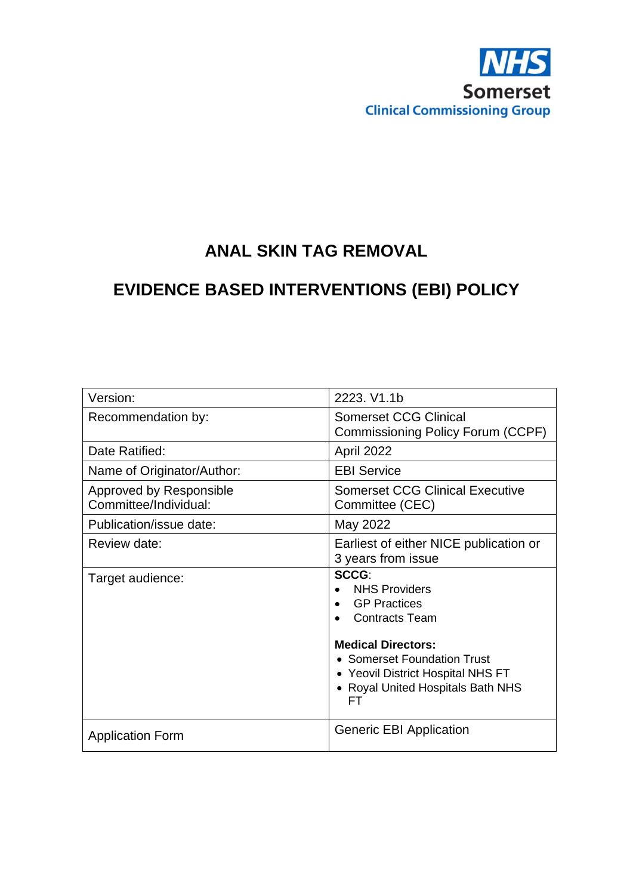

# **ANAL SKIN TAG REMOVAL**

# **EVIDENCE BASED INTERVENTIONS (EBI) POLICY**

| Version:                                         | 2223. V1.1b                                                                                                                                                                                                               |
|--------------------------------------------------|---------------------------------------------------------------------------------------------------------------------------------------------------------------------------------------------------------------------------|
| Recommendation by:                               | <b>Somerset CCG Clinical</b><br>Commissioning Policy Forum (CCPF)                                                                                                                                                         |
| Date Ratified:                                   | April 2022                                                                                                                                                                                                                |
| Name of Originator/Author:                       | <b>EBI Service</b>                                                                                                                                                                                                        |
| Approved by Responsible<br>Committee/Individual: | <b>Somerset CCG Clinical Executive</b><br>Committee (CEC)                                                                                                                                                                 |
| Publication/issue date:                          | May 2022                                                                                                                                                                                                                  |
| Review date:                                     | Earliest of either NICE publication or<br>3 years from issue                                                                                                                                                              |
| Target audience:                                 | SCCG:<br><b>NHS Providers</b><br><b>GP Practices</b><br><b>Contracts Team</b><br><b>Medical Directors:</b><br>• Somerset Foundation Trust<br>• Yeovil District Hospital NHS FT<br>• Royal United Hospitals Bath NHS<br>FТ |
| <b>Application Form</b>                          | <b>Generic EBI Application</b>                                                                                                                                                                                            |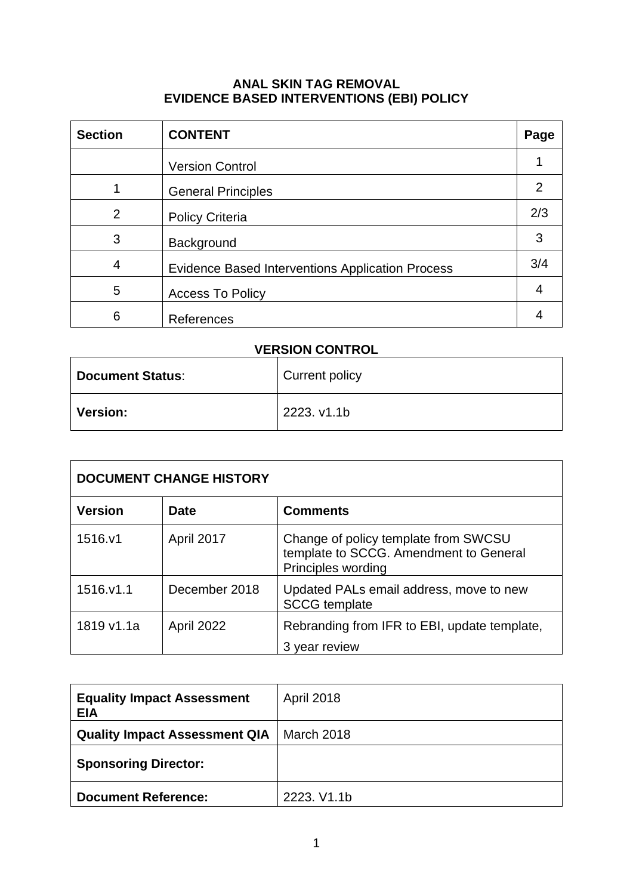#### **ANAL SKIN TAG REMOVAL EVIDENCE BASED INTERVENTIONS (EBI) POLICY**

| <b>Section</b> | <b>CONTENT</b>                                          | Page |
|----------------|---------------------------------------------------------|------|
|                | <b>Version Control</b>                                  |      |
|                | <b>General Principles</b>                               | 2    |
| 2              | <b>Policy Criteria</b>                                  | 2/3  |
| 3              | Background                                              | 3    |
| 4              | <b>Evidence Based Interventions Application Process</b> | 3/4  |
| 5              | <b>Access To Policy</b>                                 | 4    |
| 6              | References                                              |      |

# **VERSION CONTROL**

| <b>Document Status:</b> | Current policy |
|-------------------------|----------------|
| <b>Version:</b>         | 2223. v1.1b    |

| <b>DOCUMENT CHANGE HISTORY</b> |                   |                                                                                                      |
|--------------------------------|-------------------|------------------------------------------------------------------------------------------------------|
| <b>Version</b>                 | <b>Date</b>       | <b>Comments</b>                                                                                      |
| 1516.y1                        | April 2017        | Change of policy template from SWCSU<br>template to SCCG. Amendment to General<br>Principles wording |
| 1516.v1.1                      | December 2018     | Updated PALs email address, move to new<br><b>SCCG</b> template                                      |
| 1819 v1.1a                     | <b>April 2022</b> | Rebranding from IFR to EBI, update template,<br>3 year review                                        |

| <b>Equality Impact Assessment</b><br><b>EIA</b> | <b>April 2018</b> |
|-------------------------------------------------|-------------------|
| <b>Quality Impact Assessment QIA</b>            | March 2018        |
| <b>Sponsoring Director:</b>                     |                   |
| <b>Document Reference:</b>                      | 2223, V1.1b       |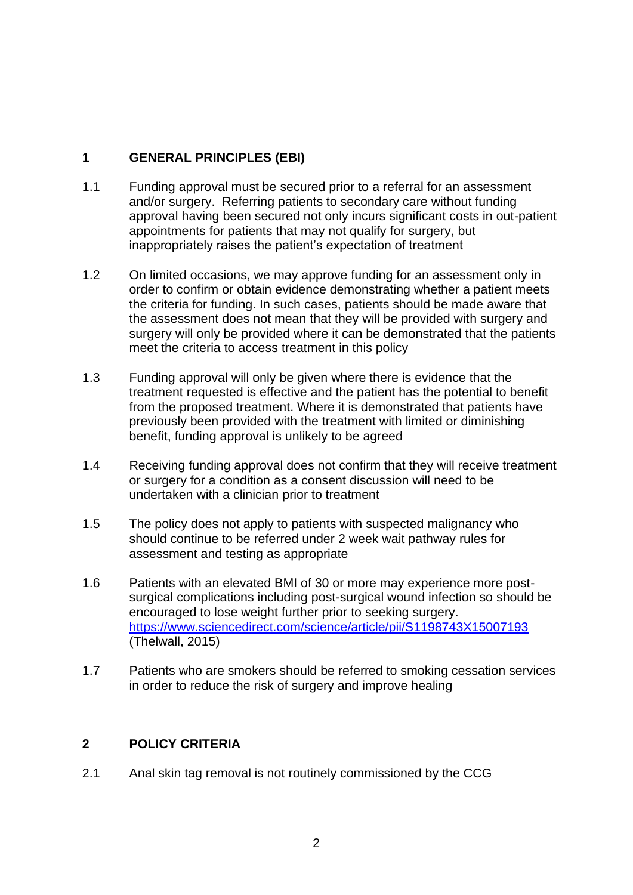## **1 GENERAL PRINCIPLES (EBI)**

- 1.1 Funding approval must be secured prior to a referral for an assessment and/or surgery. Referring patients to secondary care without funding approval having been secured not only incurs significant costs in out-patient appointments for patients that may not qualify for surgery, but inappropriately raises the patient's expectation of treatment
- 1.2 On limited occasions, we may approve funding for an assessment only in order to confirm or obtain evidence demonstrating whether a patient meets the criteria for funding. In such cases, patients should be made aware that the assessment does not mean that they will be provided with surgery and surgery will only be provided where it can be demonstrated that the patients meet the criteria to access treatment in this policy
- 1.3 Funding approval will only be given where there is evidence that the treatment requested is effective and the patient has the potential to benefit from the proposed treatment. Where it is demonstrated that patients have previously been provided with the treatment with limited or diminishing benefit, funding approval is unlikely to be agreed
- 1.4 Receiving funding approval does not confirm that they will receive treatment or surgery for a condition as a consent discussion will need to be undertaken with a clinician prior to treatment
- 1.5 The policy does not apply to patients with suspected malignancy who should continue to be referred under 2 week wait pathway rules for assessment and testing as appropriate
- 1.6 Patients with an elevated BMI of 30 or more may experience more postsurgical complications including post-surgical wound infection so should be encouraged to lose weight further prior to seeking surgery. <https://www.sciencedirect.com/science/article/pii/S1198743X15007193> (Thelwall, 2015)
- 1.7 Patients who are smokers should be referred to smoking cessation services in order to reduce the risk of surgery and improve healing

### **2 POLICY CRITERIA**

2.1 Anal skin tag removal is not routinely commissioned by the CCG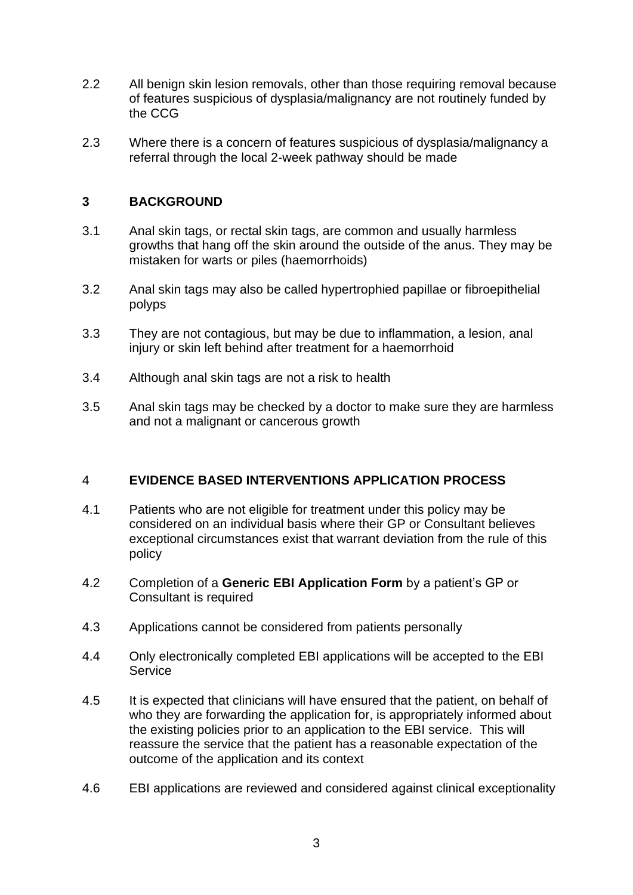- 2.2 All benign skin lesion removals, other than those requiring removal because of features suspicious of dysplasia/malignancy are not routinely funded by the CCG
- 2.3 Where there is a concern of features suspicious of dysplasia/malignancy a referral through the local 2-week pathway should be made

#### **3 BACKGROUND**

- 3.1 Anal skin tags, or rectal skin tags, are common and usually harmless growths that hang off the skin around the outside of the anus. They may be mistaken for warts or piles (haemorrhoids)
- 3.2 Anal skin tags may also be called hypertrophied papillae or fibroepithelial polyps
- 3.3 They are not contagious, but may be due to inflammation, a lesion, anal injury or skin left behind after treatment for a haemorrhoid
- 3.4 Although anal skin tags are not a risk to health
- 3.5 Anal skin tags may be checked by a doctor to make sure they are harmless and not a malignant or cancerous growth

### 4 **EVIDENCE BASED INTERVENTIONS APPLICATION PROCESS**

- 4.1 Patients who are not eligible for treatment under this policy may be considered on an individual basis where their GP or Consultant believes exceptional circumstances exist that warrant deviation from the rule of this policy
- 4.2 Completion of a **Generic EBI Application Form** by a patient's GP or Consultant is required
- 4.3 Applications cannot be considered from patients personally
- 4.4 Only electronically completed EBI applications will be accepted to the EBI **Service**
- 4.5 It is expected that clinicians will have ensured that the patient, on behalf of who they are forwarding the application for, is appropriately informed about the existing policies prior to an application to the EBI service. This will reassure the service that the patient has a reasonable expectation of the outcome of the application and its context
- 4.6 EBI applications are reviewed and considered against clinical exceptionality